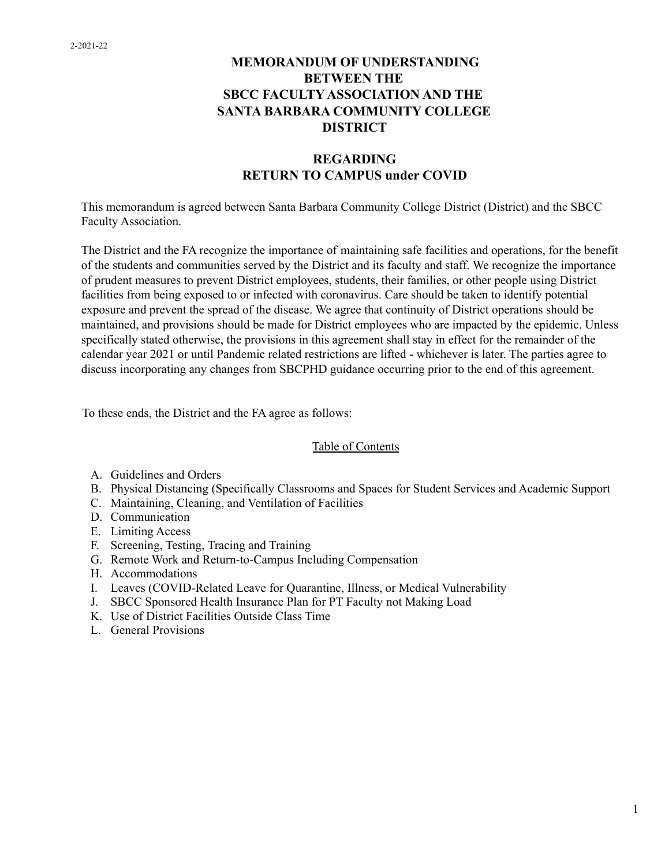#### **MEMORANDUM OF UNDERSTANDING BETWEEN THE SBCC FACULTY ASSOCIATION AND THE SANTA BARBARA COMMUNITY COLLEGE DISTRICT**

#### **REGARDING RETURN TO CAMPUS under COVID**

This memorandum is agreed between Santa Barbara Community College District (District) and the SBCC Faculty Association.

The District and the FA recognize the importance of maintaining safe facilities and operations, for the benefit of the students and communities served by the District and its faculty and staff. We recognize the importance of prudent measures to prevent District employees, students, their families, or other people using District facilities from being exposed to or infected with coronavirus. Care should be taken to identify potential exposure and prevent the spread of the disease. We agree that continuity of District operations should be maintained, and provisions should be made for District employees who are impacted by the epidemic. Unless specifically stated otherwise, the provisions in this agreement shall stay in effect for the remainder of the calendar year 2021 or until Pandemic related restrictions are lifted - whichever is later. The parties agree to discuss incorporating any changes from SBCPHD guidance occurring prior to the end of this agreement.

To these ends, the District and the FA agree as follows:

#### Table of Contents

- A. Guidelines and Orders
- B. Physical Distancing (Specifically Classrooms and Spaces for Student Services and Academic Support
- C. Maintaining, Cleaning, and Ventilation of Facilities
- D. Communication
- E. Limiting Access
- F. Screening, Testing, Tracing and Training
- G. Remote Work and Return-to-Campus Including Compensation
- H. Accommodations
- I. Leaves (COVID-Related Leave for Quarantine, Illness, or Medical Vulnerability
- J. SBCC Sponsored Health Insurance Plan for PT Faculty not Making Load
- K. Use of District Facilities Outside Class Time
- L. General Provisions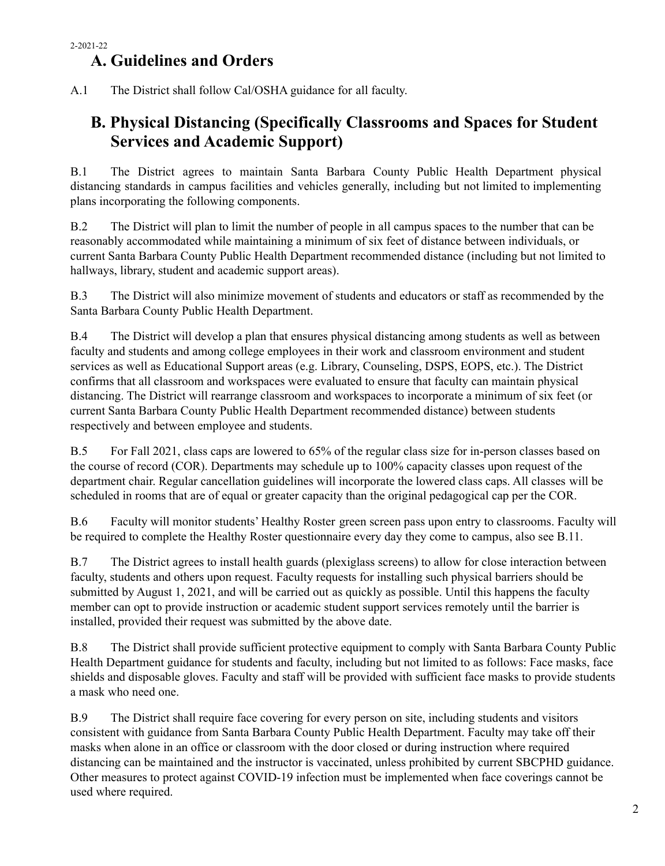## **A. Guidelines and Orders**

A.1 The District shall follow Cal/OSHA guidance for all faculty.

## **B. Physical Distancing (Specifically Classrooms and Spaces for Student Services and Academic Support)**

B.1 The District agrees to maintain Santa Barbara County Public Health Department physical distancing standards in campus facilities and vehicles generally, including but not limited to implementing plans incorporating the following components.

B.2 The District will plan to limit the number of people in all campus spaces to the number that can be reasonably accommodated while maintaining a minimum of six feet of distance between individuals, or current Santa Barbara County Public Health Department recommended distance (including but not limited to hallways, library, student and academic support areas).

B.3 The District will also minimize movement of students and educators or staff as recommended by the Santa Barbara County Public Health Department.

B.4 The District will develop a plan that ensures physical distancing among students as well as between faculty and students and among college employees in their work and classroom environment and student services as well as Educational Support areas (e.g. Library, Counseling, DSPS, EOPS, etc.). The District confirms that all classroom and workspaces were evaluated to ensure that faculty can maintain physical distancing. The District will rearrange classroom and workspaces to incorporate a minimum of six feet (or current Santa Barbara County Public Health Department recommended distance) between students respectively and between employee and students.

B.5 For Fall 2021, class caps are lowered to 65% of the regular class size for in-person classes based on the course of record (COR). Departments may schedule up to 100% capacity classes upon request of the department chair. Regular cancellation guidelines will incorporate the lowered class caps. All classes will be scheduled in rooms that are of equal or greater capacity than the original pedagogical cap per the COR.

B.6 Faculty will monitor students' Healthy Roster green screen pass upon entry to classrooms. Faculty will be required to complete the Healthy Roster questionnaire every day they come to campus, also see B.11.

B.7 The District agrees to install health guards (plexiglass screens) to allow for close interaction between faculty, students and others upon request. Faculty requests for installing such physical barriers should be submitted by August 1, 2021, and will be carried out as quickly as possible. Until this happens the faculty member can opt to provide instruction or academic student support services remotely until the barrier is installed, provided their request was submitted by the above date.

B.8 The District shall provide sufficient protective equipment to comply with Santa Barbara County Public Health Department guidance for students and faculty, including but not limited to as follows: Face masks, face shields and disposable gloves. Faculty and staff will be provided with sufficient face masks to provide students a mask who need one.

B.9 The District shall require face covering for every person on site, including students and visitors consistent with guidance from Santa Barbara County Public Health Department. Faculty may take off their masks when alone in an office or classroom with the door closed or during instruction where required distancing can be maintained and the instructor is vaccinated, unless prohibited by current SBCPHD guidance. Other measures to protect against COVID-19 infection must be implemented when face coverings cannot be used where required.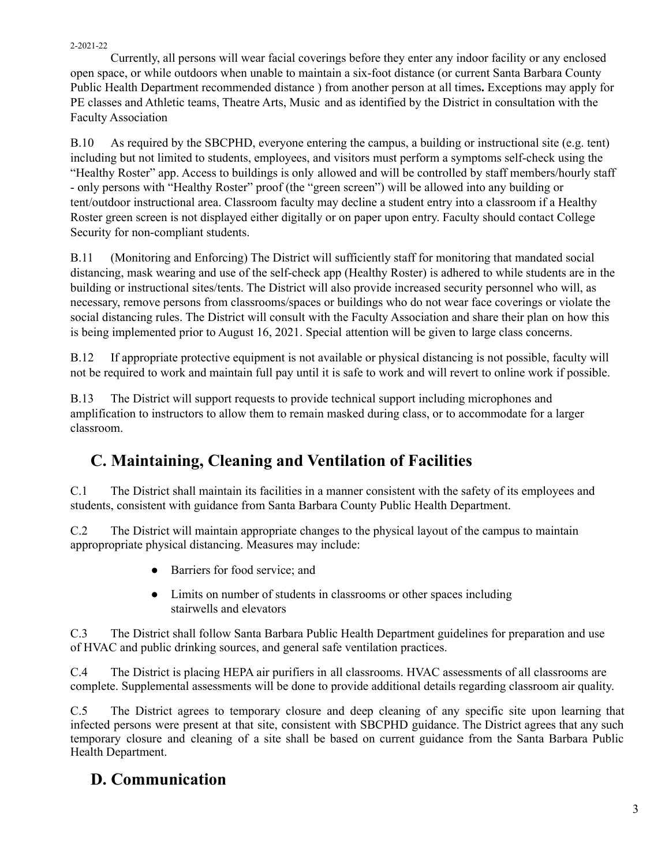Currently, all persons will wear facial coverings before they enter any indoor facility or any enclosed open space, or while outdoors when unable to maintain a six-foot distance (or current Santa Barbara County Public Health Department recommended distance ) from another person at all times**.** Exceptions may apply for PE classes and Athletic teams, Theatre Arts, Music and as identified by the District in consultation with the Faculty Association

B.10 As required by the SBCPHD, everyone entering the campus, a building or instructional site (e.g. tent) including but not limited to students, employees, and visitors must perform a symptoms self-check using the "Healthy Roster" app. Access to buildings is only allowed and will be controlled by staff members/hourly staff - only persons with "Healthy Roster" proof (the "green screen") will be allowed into any building or tent/outdoor instructional area. Classroom faculty may decline a student entry into a classroom if a Healthy Roster green screen is not displayed either digitally or on paper upon entry. Faculty should contact College Security for non-compliant students.

B.11 (Monitoring and Enforcing) The District will sufficiently staff for monitoring that mandated social distancing, mask wearing and use of the self-check app (Healthy Roster) is adhered to while students are in the building or instructional sites/tents. The District will also provide increased security personnel who will, as necessary, remove persons from classrooms/spaces or buildings who do not wear face coverings or violate the social distancing rules. The District will consult with the Faculty Association and share their plan on how this is being implemented prior to August 16, 2021. Special attention will be given to large class concerns.

B.12 If appropriate protective equipment is not available or physical distancing is not possible, faculty will not be required to work and maintain full pay until it is safe to work and will revert to online work if possible.

B.13 The District will support requests to provide technical support including microphones and amplification to instructors to allow them to remain masked during class, or to accommodate for a larger classroom.

# **C. Maintaining, Cleaning and Ventilation of Facilities**

C.1 The District shall maintain its facilities in a manner consistent with the safety of its employees and students, consistent with guidance from Santa Barbara County Public Health Department.

C.2 The District will maintain appropriate changes to the physical layout of the campus to maintain appropropriate physical distancing. Measures may include:

- Barriers for food service; and
- Limits on number of students in classrooms or other spaces including stairwells and elevators

C.3 The District shall follow Santa Barbara Public Health Department guidelines for preparation and use of HVAC and public drinking sources, and general safe ventilation practices.

C.4 The District is placing HEPA air purifiers in all classrooms. HVAC assessments of all classrooms are complete. Supplemental assessments will be done to provide additional details regarding classroom air quality.

C.5 The District agrees to temporary closure and deep cleaning of any specific site upon learning that infected persons were present at that site, consistent with SBCPHD guidance. The District agrees that any such temporary closure and cleaning of a site shall be based on current guidance from the Santa Barbara Public Health Department.

#### **D. Communication**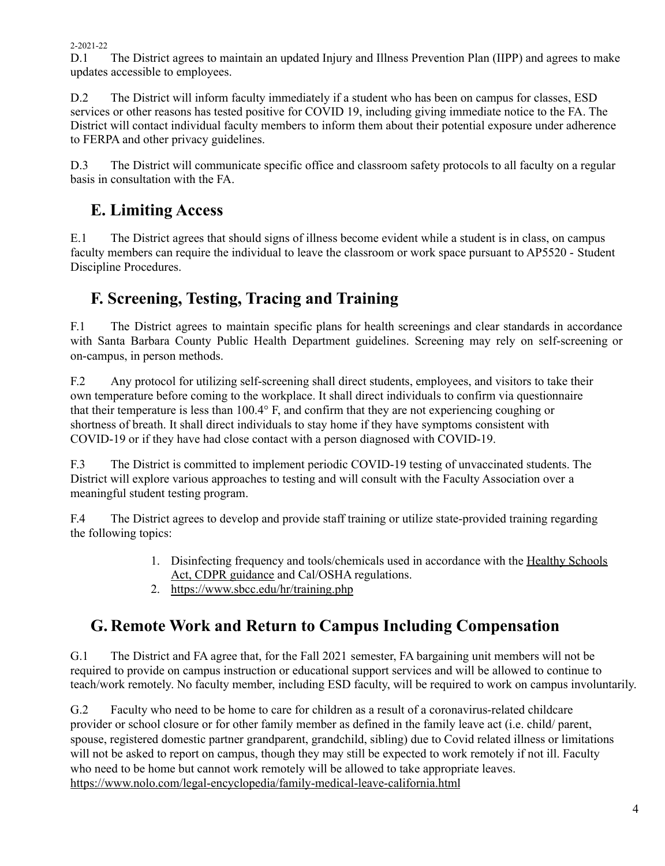D.1 The District agrees to maintain an updated Injury and Illness Prevention Plan (IIPP) and agrees to make updates accessible to employees.

D.2 The District will inform faculty immediately if a student who has been on campus for classes, ESD services or other reasons has tested positive for COVID 19, including giving immediate notice to the FA. The District will contact individual faculty members to inform them about their potential exposure under adherence to FERPA and other privacy guidelines.

D.3 The District will communicate specific office and classroom safety protocols to all faculty on a regular basis in consultation with the FA.

# **E. Limiting Access**

E.1 The District agrees that should signs of illness become evident while a student is in class, on campus faculty members can require the individual to leave the classroom or work space pursuant to AP5520 - Student Discipline Procedures.

# **F. Screening, Testing, Tracing and Training**

F.1 The District agrees to maintain specific plans for health screenings and clear standards in accordance with Santa Barbara County Public Health Department guidelines. Screening may rely on self-screening or on-campus, in person methods.

F.2 Any protocol for utilizing self-screening shall direct students, employees, and visitors to take their own temperature before coming to the workplace. It shall direct individuals to confirm via questionnaire that their temperature is less than 100.4° F, and confirm that they are not experiencing coughing or shortness of breath. It shall direct individuals to stay home if they have symptoms consistent with COVID-19 or if they have had close contact with a person diagnosed with COVID-19.

F.3 The District is committed to implement periodic COVID-19 testing of unvaccinated students. The District will explore various approaches to testing and will consult with the Faculty Association over a meaningful student testing program.

F.4 The District agrees to develop and provide staff training or utilize state-provided training regarding the following topics:

- 1. Disinfecting frequency and tools/chemicals used in accordance with the Healthy Schools Act, CDPR guidance and Cal/OSHA regulations.
- 2. <https://www.sbcc.edu/hr/training.php>

# **G. Remote Work and Return to Campus Including Compensation**

G.1 The District and FA agree that, for the Fall 2021 semester, FA bargaining unit members will not be required to provide on campus instruction or educational support services and will be allowed to continue to teach/work remotely. No faculty member, including ESD faculty, will be required to work on campus involuntarily.

G.2 Faculty who need to be home to care for children as a result of a coronavirus-related childcare provider or school closure or for other family member as defined in the family leave act (i.e. child/ parent, spouse, registered domestic partner grandparent, grandchild, sibling) due to Covid related illness or limitations will not be asked to report on campus, though they may still be expected to work remotely if not ill. Faculty who need to be home but cannot work remotely will be allowed to take appropriate leaves. <https://www.nolo.com/legal-encyclopedia/family-medical-leave-california.html>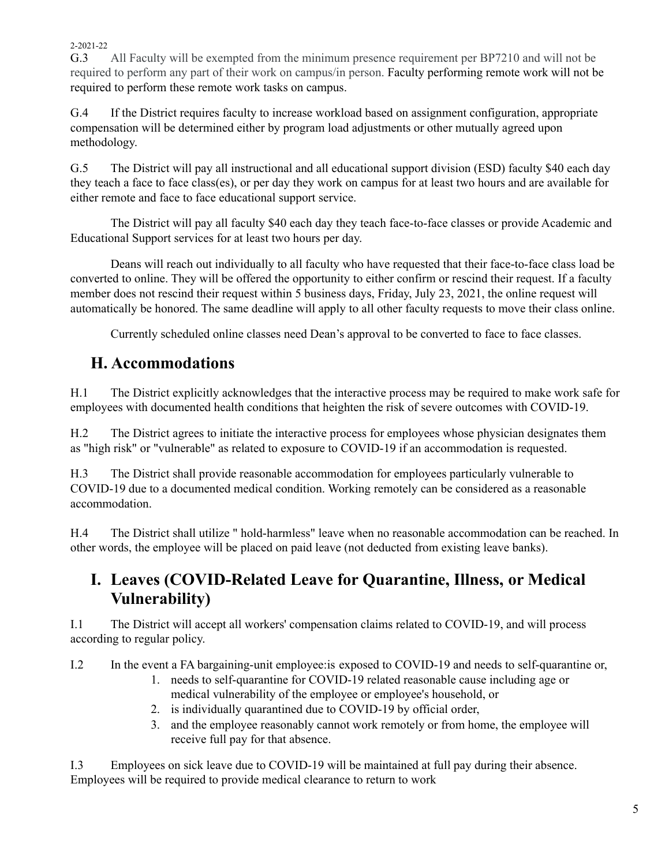G.3 All Faculty will be exempted from the minimum presence requirement per BP7210 and will not be required to perform any part of their work on campus/in person. Faculty performing remote work will not be required to perform these remote work tasks on campus.

G.4 If the District requires faculty to increase workload based on assignment configuration, appropriate compensation will be determined either by program load adjustments or other mutually agreed upon methodology.

G.5 The District will pay all instructional and all educational support division (ESD) faculty \$40 each day they teach a face to face class(es), or per day they work on campus for at least two hours and are available for either remote and face to face educational support service.

The District will pay all faculty \$40 each day they teach face-to-face classes or provide Academic and Educational Support services for at least two hours per day.

Deans will reach out individually to all faculty who have requested that their face-to-face class load be converted to online. They will be offered the opportunity to either confirm or rescind their request. If a faculty member does not rescind their request within 5 business days, Friday, July 23, 2021, the online request will automatically be honored. The same deadline will apply to all other faculty requests to move their class online.

Currently scheduled online classes need Dean's approval to be converted to face to face classes.

### **H. Accommodations**

H.1 The District explicitly acknowledges that the interactive process may be required to make work safe for employees with documented health conditions that heighten the risk of severe outcomes with COVID-19.

H.2 The District agrees to initiate the interactive process for employees whose physician designates them as "high risk" or "vulnerable" as related to exposure to COVID-19 if an accommodation is requested.

H.3 The District shall provide reasonable accommodation for employees particularly vulnerable to COVID-19 due to a documented medical condition. Working remotely can be considered as a reasonable accommodation.

H.4 The District shall utilize " hold-harmless" leave when no reasonable accommodation can be reached. In other words, the employee will be placed on paid leave (not deducted from existing leave banks).

#### **I. Leaves (COVID-Related Leave for Quarantine, Illness, or Medical Vulnerability)**

I.1 The District will accept all workers' compensation claims related to COVID-19, and will process according to regular policy.

I.2 In the event a FA bargaining-unit employee:is exposed to COVID-19 and needs to self-quarantine or,

- 1. needs to self-quarantine for COVID-19 related reasonable cause including age or medical vulnerability of the employee or employee's household, or
- 2. is individually quarantined due to COVID-19 by official order,
- 3. and the employee reasonably cannot work remotely or from home, the employee will receive full pay for that absence.

I.3 Employees on sick leave due to COVID-19 will be maintained at full pay during their absence. Employees will be required to provide medical clearance to return to work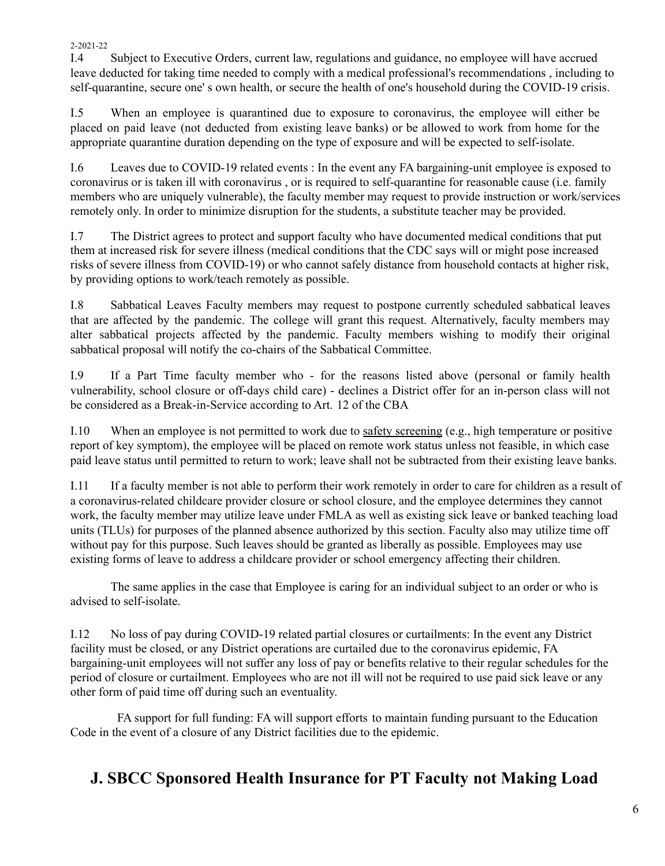I.4 Subject to Executive Orders, current law, regulations and guidance, no employee will have accrued leave deducted for taking time needed to comply with a medical professional's recommendations , including to self-quarantine, secure one' s own health, or secure the health of one's household during the COVID-19 crisis.

I.5 When an employee is quarantined due to exposure to coronavirus, the employee will either be placed on paid leave (not deducted from existing leave banks) or be allowed to work from home for the appropriate quarantine duration depending on the type of exposure and will be expected to self-isolate.

I.6 Leaves due to COVID-19 related events : In the event any FA bargaining-unit employee is exposed to coronavirus or is taken ill with coronavirus , or is required to self-quarantine for reasonable cause (i.e. family members who are uniquely vulnerable), the faculty member may request to provide instruction or work/services remotely only. In order to minimize disruption for the students, a substitute teacher may be provided.

I.7 The District agrees to protect and support faculty who have documented medical conditions that put them at increased risk for severe illness (medical conditions that the CDC says will or might pose increased risks of severe illness from COVID-19) or who cannot safely distance from household contacts at higher risk, by providing options to work/teach remotely as possible.

I.8 Sabbatical Leaves Faculty members may request to postpone currently scheduled sabbatical leaves that are affected by the pandemic. The college will grant this request. Alternatively, faculty members may alter sabbatical projects affected by the pandemic. Faculty members wishing to modify their original sabbatical proposal will notify the co-chairs of the Sabbatical Committee.

I.9 If a Part Time faculty member who - for the reasons listed above (personal or family health vulnerability, school closure or off-days child care) - declines a District offer for an in-person class will not be considered as a Break-in-Service according to Art. 12 of the CBA

I.10 When an employee is not permitted to work due to safety screening (e.g., high temperature or positive report of key symptom), the employee will be placed on remote work status unless not feasible, in which case paid leave status until permitted to return to work; leave shall not be subtracted from their existing leave banks.

I.11 If a faculty member is not able to perform their work remotely in order to care for children as a result of a coronavirus-related childcare provider closure or school closure, and the employee determines they cannot work, the faculty member may utilize leave under FMLA as well as existing sick leave or banked teaching load units (TLUs) for purposes of the planned absence authorized by this section. Faculty also may utilize time off without pay for this purpose. Such leaves should be granted as liberally as possible. Employees may use existing forms of leave to address a childcare provider or school emergency affecting their children.

The same applies in the case that Employee is caring for an individual subject to an order or who is advised to self-isolate.

I.12 No loss of pay during COVID-19 related partial closures or curtailments: In the event any District facility must be closed, or any District operations are curtailed due to the coronavirus epidemic, FA bargaining-unit employees will not suffer any loss of pay or benefits relative to their regular schedules for the period of closure or curtailment. Employees who are not ill will not be required to use paid sick leave or any other form of paid time off during such an eventuality.

FA support for full funding: FA will support efforts to maintain funding pursuant to the Education Code in the event of a closure of any District facilities due to the epidemic.

## **J. SBCC Sponsored Health Insurance for PT Faculty not Making Load**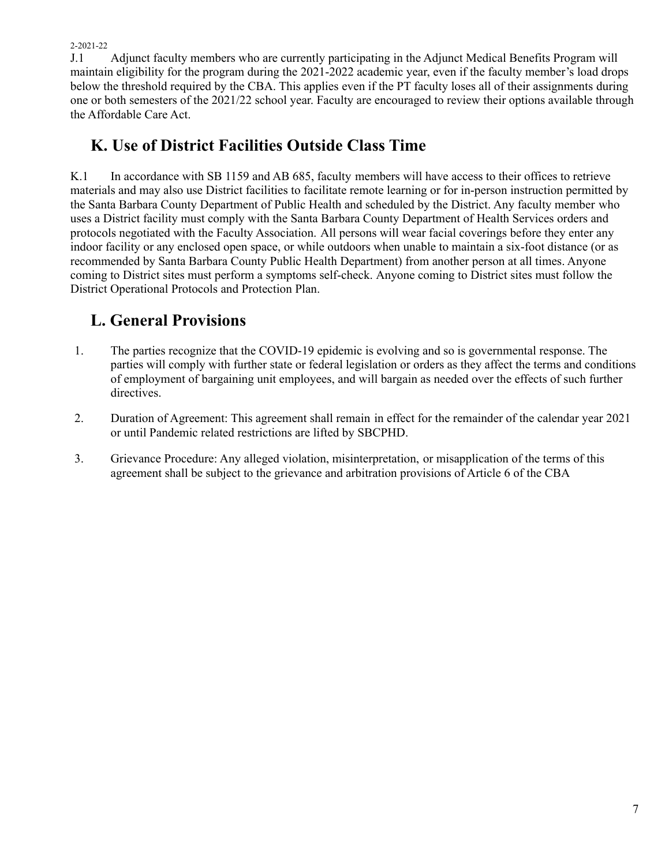J.1 Adjunct faculty members who are currently participating in the Adjunct Medical Benefits Program will maintain eligibility for the program during the 2021-2022 academic year, even if the faculty member's load drops below the threshold required by the CBA. This applies even if the PT faculty loses all of their assignments during one or both semesters of the 2021/22 school year. Faculty are encouraged to review their options available through the Affordable Care Act.

## **K. Use of District Facilities Outside Class Time**

K.1 In accordance with SB 1159 and AB 685, faculty members will have access to their offices to retrieve materials and may also use District facilities to facilitate remote learning or for in-person instruction permitted by the Santa Barbara County Department of Public Health and scheduled by the District. Any faculty member who uses a District facility must comply with the Santa Barbara County Department of Health Services orders and protocols negotiated with the Faculty Association. All persons will wear facial coverings before they enter any indoor facility or any enclosed open space, or while outdoors when unable to maintain a six-foot distance (or as recommended by Santa Barbara County Public Health Department) from another person at all times. Anyone coming to District sites must perform a symptoms self-check. Anyone coming to District sites must follow the District Operational Protocols and Protection Plan.

# **L. General Provisions**

- 1. The parties recognize that the COVID-19 epidemic is evolving and so is governmental response. The parties will comply with further state or federal legislation or orders as they affect the terms and conditions of employment of bargaining unit employees, and will bargain as needed over the effects of such further directives.
- 2. Duration of Agreement: This agreement shall remain in effect for the remainder of the calendar year 2021 or until Pandemic related restrictions are lifted by SBCPHD.
- 3. Grievance Procedure: Any alleged violation, misinterpretation, or misapplication of the terms of this agreement shall be subject to the grievance and arbitration provisions of Article 6 of the CBA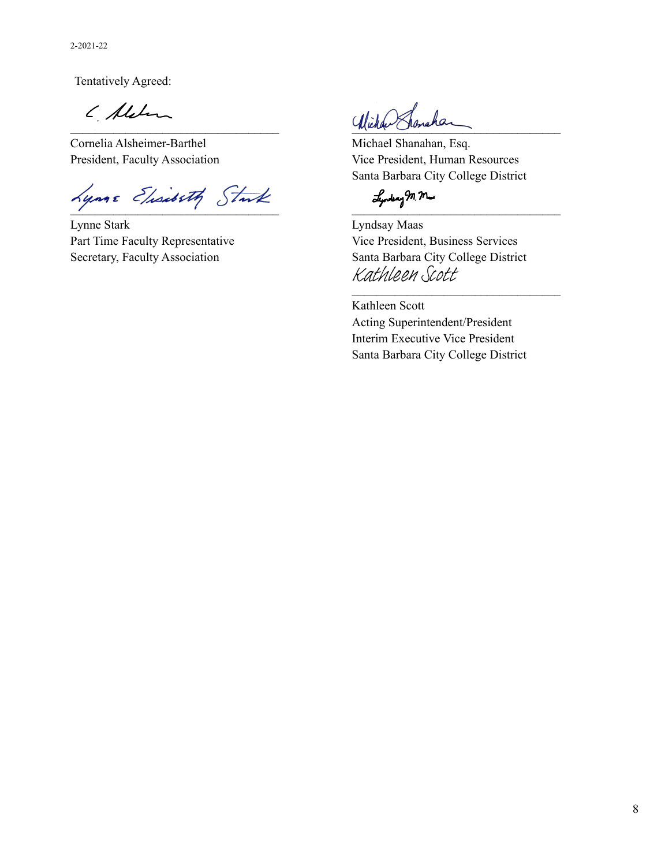Tentatively Agreed:

( Alden

Cornelia Alsheimer-Barthel Michael Shanahan, Esq.

 $\lambda$ ynne Elisibeth Stuk Junkan M.M.

Lynne Stark Lyndsay Maas Part Time Faculty Representative Vice President, Business Services

Wiellan Clonarian

President, Faculty Association Vice President, Human Resources Santa Barbara City College District

Secretary, Faculty Association Santa Barbara City College District Kathleen Scott

 $\mathcal{L}_\text{max}$ 

Kathleen Scott Acting Superintendent/President Interim Executive Vice President Santa Barbara City College District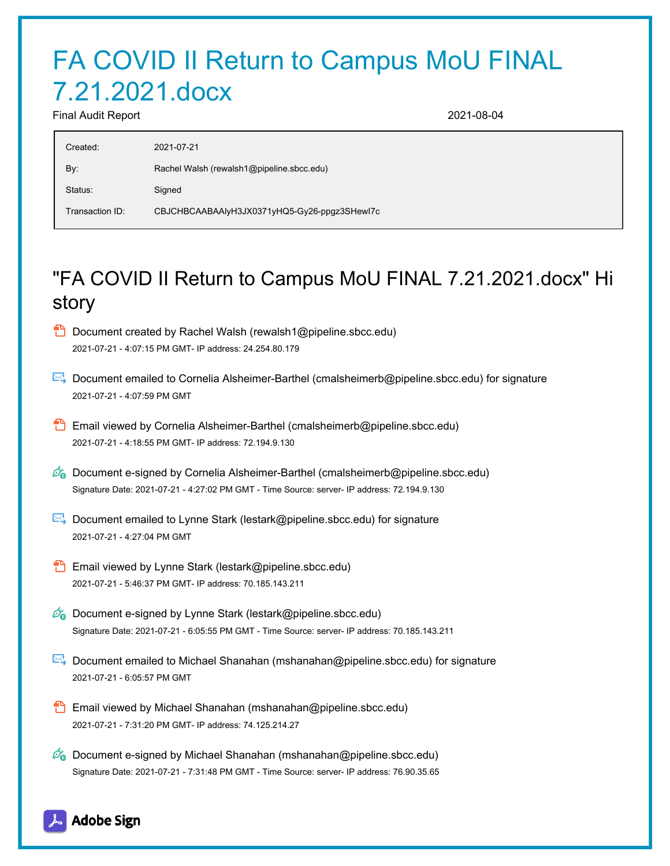# FA COVID II Return to Campus MoU FINAL 7.21.2021.docx

Final Audit Report 2021-08-04

| Created:        | 2021-07-21                                   |
|-----------------|----------------------------------------------|
| By:             | Rachel Walsh (rewalsh1@pipeline.sbcc.edu)    |
| Status:         | Signed                                       |
| Transaction ID: | CBJCHBCAABAAlyH3JX0371yHQ5-Gy26-ppgz3SHewI7c |

# "FA COVID II Return to Campus MoU FINAL 7.21.2021.docx" Hi story

- **D** Document created by Rachel Walsh (rewalsh1@pipeline.sbcc.edu) 2021-07-21 - 4:07:15 PM GMT- IP address: 24.254.80.179
- Document emailed to Cornelia Alsheimer-Barthel (cmalsheimerb@pipeline.sbcc.edu) for signature 2021-07-21 - 4:07:59 PM GMT
- **B** Email viewed by Cornelia Alsheimer-Barthel (cmalsheimerb@pipeline.sbcc.edu) 2021-07-21 - 4:18:55 PM GMT- IP address: 72.194.9.130
- $\mathcal{O}_0$  Document e-signed by Cornelia Alsheimer-Barthel (cmalsheimerb@pipeline.sbcc.edu) Signature Date: 2021-07-21 - 4:27:02 PM GMT - Time Source: server- IP address: 72.194.9.130
- Document emailed to Lynne Stark (lestark@pipeline.sbcc.edu) for signature 2021-07-21 - 4:27:04 PM GMT
- **Email viewed by Lynne Stark (lestark@pipeline.sbcc.edu)** 2021-07-21 - 5:46:37 PM GMT- IP address: 70.185.143.211
- $\mathscr{A}_{\mathbf{G}}$  Document e-signed by Lynne Stark (lestark@pipeline.sbcc.edu) Signature Date: 2021-07-21 - 6:05:55 PM GMT - Time Source: server- IP address: 70.185.143.211
- Document emailed to Michael Shanahan (mshanahan@pipeline.sbcc.edu) for signature 2021-07-21 - 6:05:57 PM GMT
- Email viewed by Michael Shanahan (mshanahan@pipeline.sbcc.edu) 2021-07-21 - 7:31:20 PM GMT- IP address: 74.125.214.27
- $\mathscr{D}_{\mathbf{G}}$  Document e-signed by Michael Shanahan (mshanahan@pipeline.sbcc.edu) Signature Date: 2021-07-21 - 7:31:48 PM GMT - Time Source: server- IP address: 76.90.35.65

#### Adobe Sign